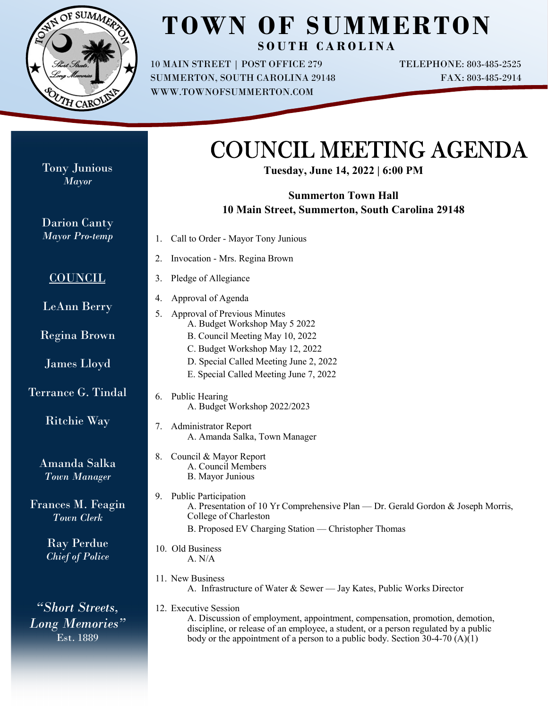

## **TOWN OF SUMMERTON** SOUTH CAROLINA

10 MAIN STREET | POST OFFICE 279 SUMMERTON, SOUTH CAROLINA 29148 WWW.TOWNOFSUMMERTON.COM

TELEPHONE: 803-485-2525 FAX: 803-485-2914

## COUNCIL MEETING AGENDA

**Tuesday, June 14, 2022 | 6:00 PM**

## **Summerton Town Hall 10 Main Street, Summerton, South Carolina 29148**

| Call to Order - Mayor Tony Junious<br>1.                                                                                                                                                                                                                                       |
|--------------------------------------------------------------------------------------------------------------------------------------------------------------------------------------------------------------------------------------------------------------------------------|
| Invocation - Mrs. Regina Brown<br>2.                                                                                                                                                                                                                                           |
| Pledge of Allegiance<br>3.                                                                                                                                                                                                                                                     |
| Approval of Agenda<br>4.<br><b>Approval of Previous Minutes</b><br>5.<br>A. Budget Workshop May 5 2022                                                                                                                                                                         |
| B. Council Meeting May 10, 2022                                                                                                                                                                                                                                                |
| C. Budget Workshop May 12, 2022<br>D. Special Called Meeting June 2, 2022<br>E. Special Called Meeting June 7, 2022                                                                                                                                                            |
| Public Hearing<br>6.<br>A. Budget Workshop 2022/2023                                                                                                                                                                                                                           |
| <b>Administrator Report</b><br>7.<br>A. Amanda Salka, Town Manager                                                                                                                                                                                                             |
| Council & Mayor Report<br>8.<br>A. Council Members<br><b>B.</b> Mayor Junious                                                                                                                                                                                                  |
| <b>Public Participation</b><br>9.<br>A. Presentation of 10 Yr Comprehensive Plan — Dr. Gerald Gordon & Joseph Morris,<br>College of Charleston<br>B. Proposed EV Charging Station — Christopher Thomas                                                                         |
| 10. Old Business<br>A. N/A                                                                                                                                                                                                                                                     |
| 11. New Business<br>A. Infrastructure of Water & Sewer - Jay Kates, Public Works Director                                                                                                                                                                                      |
| 12. Executive Session<br>A. Discussion of employment, appointment, compensation, promotion, demotion,<br>discipline, or release of an employee, a student, or a person regulated by a public<br>body or the appointment of a person to a public body. Section $30-4-70$ (A)(1) |
|                                                                                                                                                                                                                                                                                |

Tony Junious *Mayor*

Terrance G. Tindal

Frances M. Feagin

*Long Memories"*